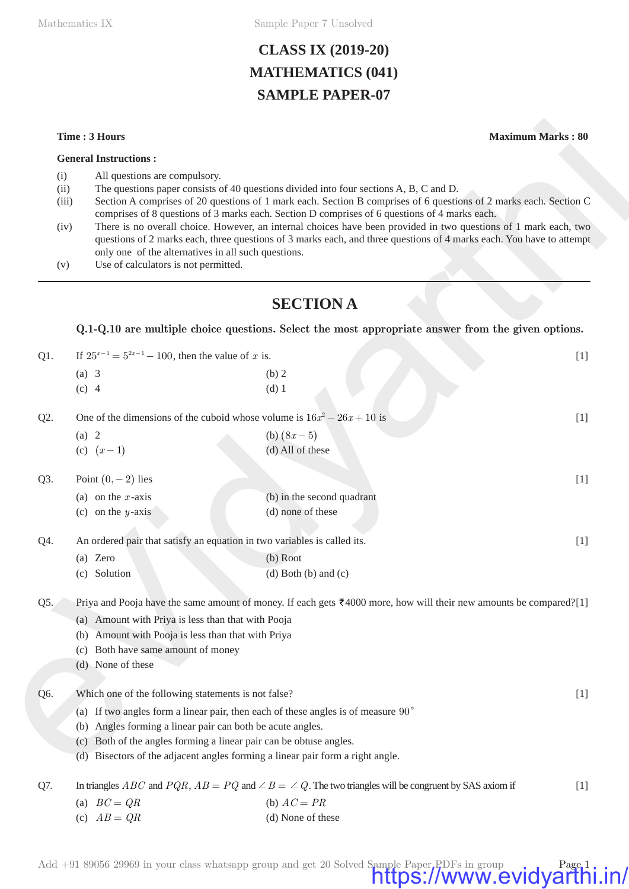Mathematics IX Sample Paper 7 Unsolved

# **CLASS IX (2019-20) MATHEMATICS (041) SAMPLE PAPER-07**

#### **General Instructions :**

- (i) All questions are compulsory.
- (ii) The questions paper consists of 40 questions divided into four sections A, B, C and D.
- (iii) Section A comprises of 20 questions of 1 mark each. Section B comprises of 6 questions of 2 marks each. Section C comprises of 8 questions of 3 marks each. Section D comprises of 6 questions of 4 marks each.
- (iv) There is no overall choice. However, an internal choices have been provided in two questions of 1 mark each, two questions of 2 marks each, three questions of 3 marks each, and three questions of 4 marks each. You have to attempt only one of the alternatives in all such questions.
- (v) Use of calculators is not permitted.

### **SECTION A**

|                              | Time: 3 Hours                                                                        | <b>Maximum Marks: 80</b>                                                                                                                                                                                                                                                                                                                                                                                                                                                                                                                                 |       |  |  |  |  |  |  |
|------------------------------|--------------------------------------------------------------------------------------|----------------------------------------------------------------------------------------------------------------------------------------------------------------------------------------------------------------------------------------------------------------------------------------------------------------------------------------------------------------------------------------------------------------------------------------------------------------------------------------------------------------------------------------------------------|-------|--|--|--|--|--|--|
|                              | <b>General Instructions:</b>                                                         |                                                                                                                                                                                                                                                                                                                                                                                                                                                                                                                                                          |       |  |  |  |  |  |  |
| (i)<br>(ii)<br>(iii)<br>(iv) | All questions are compulsory.<br>only one of the alternatives in all such questions. | The questions paper consists of 40 questions divided into four sections A, B, C and D.<br>Section A comprises of 20 questions of 1 mark each. Section B comprises of 6 questions of 2 marks each. Section C<br>comprises of 8 questions of 3 marks each. Section D comprises of 6 questions of 4 marks each.<br>There is no overall choice. However, an internal choices have been provided in two questions of 1 mark each, two<br>questions of 2 marks each, three questions of 3 marks each, and three questions of 4 marks each. You have to attempt |       |  |  |  |  |  |  |
| (v)                          | Use of calculators is not permitted.                                                 |                                                                                                                                                                                                                                                                                                                                                                                                                                                                                                                                                          |       |  |  |  |  |  |  |
|                              |                                                                                      | <b>SECTION A</b>                                                                                                                                                                                                                                                                                                                                                                                                                                                                                                                                         |       |  |  |  |  |  |  |
|                              |                                                                                      | Q.1-Q.10 are multiple choice questions. Select the most appropriate answer from the given options.                                                                                                                                                                                                                                                                                                                                                                                                                                                       |       |  |  |  |  |  |  |
| Q1.                          | If $25^{x-1} = 5^{2x-1} - 100$ , then the value of x is.                             |                                                                                                                                                                                                                                                                                                                                                                                                                                                                                                                                                          | $[1]$ |  |  |  |  |  |  |
|                              | $(a)$ 3                                                                              | (b) 2                                                                                                                                                                                                                                                                                                                                                                                                                                                                                                                                                    |       |  |  |  |  |  |  |
|                              | $(c)$ 4                                                                              | $(d)$ 1                                                                                                                                                                                                                                                                                                                                                                                                                                                                                                                                                  |       |  |  |  |  |  |  |
| Q2.                          | One of the dimensions of the cuboid whose volume is $16x^2 - 26x + 10$ is<br>$[1]$   |                                                                                                                                                                                                                                                                                                                                                                                                                                                                                                                                                          |       |  |  |  |  |  |  |
|                              | (a) 2                                                                                | (b) $(8x-5)$                                                                                                                                                                                                                                                                                                                                                                                                                                                                                                                                             |       |  |  |  |  |  |  |
|                              | (c) $(x-1)$                                                                          | (d) All of these                                                                                                                                                                                                                                                                                                                                                                                                                                                                                                                                         |       |  |  |  |  |  |  |
| Q3.                          | Point $(0, -2)$ lies                                                                 |                                                                                                                                                                                                                                                                                                                                                                                                                                                                                                                                                          | $[1]$ |  |  |  |  |  |  |
|                              | (a) on the $x$ -axis                                                                 | (b) in the second quadrant                                                                                                                                                                                                                                                                                                                                                                                                                                                                                                                               |       |  |  |  |  |  |  |
|                              | (c) on the $y$ -axis                                                                 | (d) none of these                                                                                                                                                                                                                                                                                                                                                                                                                                                                                                                                        |       |  |  |  |  |  |  |
| Q4.                          |                                                                                      | An ordered pair that satisfy an equation in two variables is called its.                                                                                                                                                                                                                                                                                                                                                                                                                                                                                 | $[1]$ |  |  |  |  |  |  |
|                              | (a) Zero                                                                             | (b) Root                                                                                                                                                                                                                                                                                                                                                                                                                                                                                                                                                 |       |  |  |  |  |  |  |
|                              | (c) Solution                                                                         | $(d)$ Both $(b)$ and $(c)$                                                                                                                                                                                                                                                                                                                                                                                                                                                                                                                               |       |  |  |  |  |  |  |
| Q5.                          |                                                                                      | Priya and Pooja have the same amount of money. If each gets $\overline{x}$ 4000 more, how will their new amounts be compared?[1]                                                                                                                                                                                                                                                                                                                                                                                                                         |       |  |  |  |  |  |  |
|                              | (a) Amount with Priya is less than that with Pooja                                   |                                                                                                                                                                                                                                                                                                                                                                                                                                                                                                                                                          |       |  |  |  |  |  |  |
|                              | Amount with Pooja is less than that with Priya<br>(b)                                |                                                                                                                                                                                                                                                                                                                                                                                                                                                                                                                                                          |       |  |  |  |  |  |  |
|                              | (c) Both have same amount of money                                                   |                                                                                                                                                                                                                                                                                                                                                                                                                                                                                                                                                          |       |  |  |  |  |  |  |
|                              | (d) None of these                                                                    |                                                                                                                                                                                                                                                                                                                                                                                                                                                                                                                                                          |       |  |  |  |  |  |  |
| Q6.                          | Which one of the following statements is not false?                                  |                                                                                                                                                                                                                                                                                                                                                                                                                                                                                                                                                          | $[1]$ |  |  |  |  |  |  |
|                              | (a)                                                                                  | If two angles form a linear pair, then each of these angles is of measure $90^{\circ}$                                                                                                                                                                                                                                                                                                                                                                                                                                                                   |       |  |  |  |  |  |  |
|                              | Angles forming a linear pair can both be acute angles.<br>(b)                        |                                                                                                                                                                                                                                                                                                                                                                                                                                                                                                                                                          |       |  |  |  |  |  |  |
|                              | Both of the angles forming a linear pair can be obtuse angles.<br>(c)                |                                                                                                                                                                                                                                                                                                                                                                                                                                                                                                                                                          |       |  |  |  |  |  |  |
|                              |                                                                                      | (d) Bisectors of the adjacent angles forming a linear pair form a right angle.                                                                                                                                                                                                                                                                                                                                                                                                                                                                           |       |  |  |  |  |  |  |
| Q7.                          |                                                                                      | In triangles ABC and $PQR$ , $AB = PQ$ and $\angle B = \angle Q$ . The two triangles will be congruent by SAS axiom if                                                                                                                                                                                                                                                                                                                                                                                                                                   | $[1]$ |  |  |  |  |  |  |
|                              | (a) $BC = QR$                                                                        | (b) $AC = PR$                                                                                                                                                                                                                                                                                                                                                                                                                                                                                                                                            |       |  |  |  |  |  |  |
|                              | (c) $AB = QR$                                                                        | (d) None of these                                                                                                                                                                                                                                                                                                                                                                                                                                                                                                                                        |       |  |  |  |  |  |  |
|                              |                                                                                      |                                                                                                                                                                                                                                                                                                                                                                                                                                                                                                                                                          |       |  |  |  |  |  |  |

Add +91 89056 29969 in your class whatsapp group and get 20 Solved Sample Paper PDFs in group Page 1<br>https://www.evidyarthi.in/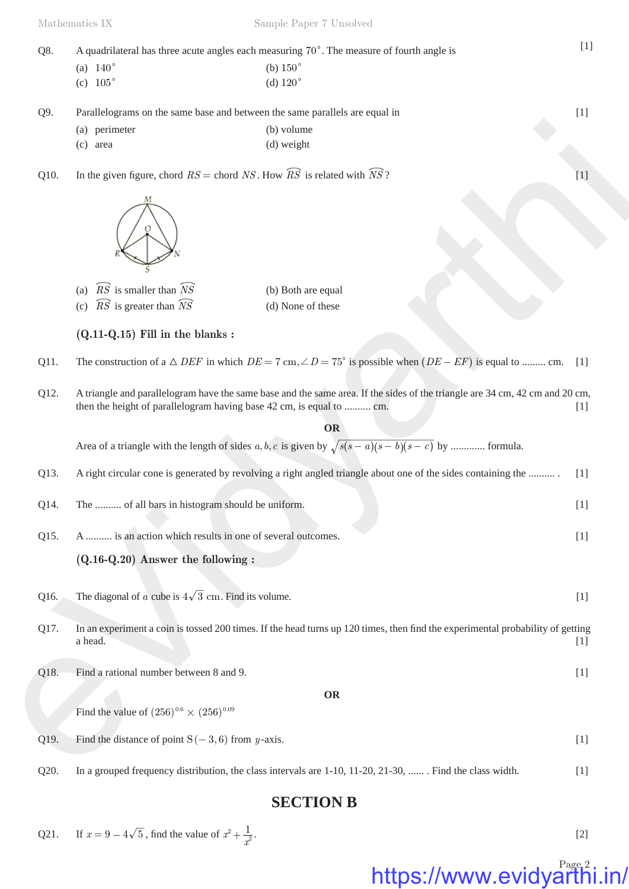| Q8.               |                                                                             | A quadrilateral has three acute angles each measuring 70°. The measure of fourth angle is       | [1] |
|-------------------|-----------------------------------------------------------------------------|-------------------------------------------------------------------------------------------------|-----|
|                   | (a) $140^{\circ}$                                                           | (b) $150^\circ$                                                                                 |     |
|                   | (c) $105^{\circ}$                                                           | (d) $120^\circ$                                                                                 |     |
| Q9.               | Parallelograms on the same base and between the same parallels are equal in | [1]                                                                                             |     |
|                   | perimeter<br>(a)                                                            | (b) volume                                                                                      |     |
|                   | (c)<br>area                                                                 | (d) weight                                                                                      |     |
| O <sub>10</sub> . |                                                                             | In the given figure, chord $RS =$ chord NS. How $\widehat{RS}$ is related with $\widehat{NS}$ ? |     |



| (a) $\widehat{RS}$ is smaller than $\widehat{NS}$ | (b) Both are equal |
|---------------------------------------------------|--------------------|
| (c) $\widehat{RS}$ is greater than $\widehat{NS}$ | (d) None of these  |

### **(Q.11-Q.15) Fill in the blanks :**

- Q11. The construction of a  $\triangle$  *DEF* in which  $DE = 7$  cm,  $\angle D = 75^{\circ}$  is possible when  $(DE EF)$  is equal to ........ cm. [1]
- Q12. A triangle and parallelogram have the same base and the same area. If the sides of the triangle are 34 cm, 42 cm and 20 cm, then the height of parallelogram having base 42 cm, is equal to .......... cm. [1]

#### **OR**

|      | (a) perimeter<br>(c) area                                                                          | (b) volume<br>(d) weight                                                                                                              |       |
|------|----------------------------------------------------------------------------------------------------|---------------------------------------------------------------------------------------------------------------------------------------|-------|
| Q10. | In the given figure, chord $RS =$ chord $NS$ . How $\widehat{RS}$ is related with $\widehat{NS}$ ? |                                                                                                                                       | $[1]$ |
|      | М                                                                                                  |                                                                                                                                       |       |
|      | $\widehat{RS}$ is smaller than $\widehat{NS}$<br>(a)                                               | (b) Both are equal                                                                                                                    |       |
|      | $\widehat{RS}$ is greater than $\widehat{NS}$<br>(c)                                               | (d) None of these                                                                                                                     |       |
|      | $(Q.11-Q.15)$ Fill in the blanks:                                                                  |                                                                                                                                       |       |
| Q11. |                                                                                                    | The construction of a $\triangle$ DEF in which $DE = 7$ cm, $\angle D = 75^{\circ}$ is possible when $(DE - EF)$ is equal to  cm. [1] |       |
| Q12. | then the height of parallelogram having base 42 cm, is equal to  cm.                               | A triangle and parallelogram have the same base and the same area. If the sides of the triangle are 34 cm, 42 cm and 20 cm,           | $[1]$ |
|      |                                                                                                    | <b>OR</b>                                                                                                                             |       |
|      |                                                                                                    | Area of a triangle with the length of sides $a, b, c$ is given by $\sqrt{s(s-a)(s-b)(s-c)}$ by  formula.                              |       |
| Q13. |                                                                                                    | A right circular cone is generated by revolving a right angled triangle about one of the sides containing the                         | $[1]$ |
| Q14. | The  of all bars in histogram should be uniform.                                                   |                                                                                                                                       | $[1]$ |
| Q15. | A  is an action which results in one of several outcomes.                                          |                                                                                                                                       | $[1]$ |
|      | $(Q.16-Q.20)$ Answer the following :                                                               |                                                                                                                                       |       |
| Q16. | The diagonal of a cube is $4\sqrt{3}$ cm. Find its volume.                                         |                                                                                                                                       | $[1]$ |
| Q17. | a head.                                                                                            | In an experiment a coin is tossed 200 times. If the head turns up 120 times, then find the experimental probability of getting        | $[1]$ |
| Q18. | Find a rational number between 8 and 9.                                                            |                                                                                                                                       | $[1]$ |
|      |                                                                                                    | <b>OR</b>                                                                                                                             |       |
|      | Find the value of $(256)^{0.6} \times (256)^{0.09}$                                                |                                                                                                                                       |       |
| Q19. | Find the distance of point $S(-3,6)$ from y-axis.                                                  |                                                                                                                                       | $[1]$ |
| റാറ  | In a grouped frequency distribution the class intervals are $1-10$ , $11-20$ , $21-30$             | Find the class width                                                                                                                  | f11   |

- Q16. The diagonal of *a* cube is  $4\sqrt{3}$  cm. Find its volume. [1]
- Q17. In an experiment a coin is tossed 200 times. If the head turns up 120 times, then find the experimental probability of getting a head.  $[1]$
- Q18. Find a rational number between 8 and 9. [1]

Q20. In a grouped frequency distribution, the class intervals are 1-10, 11-20, 21-30, ...... . Find the class width. [1]

## **SECTION B**

Q21. If  $x = 9 - 4\sqrt{5}$ , find the value of  $x^2 + \frac{1}{x}$  $x^2 + \frac{1}{x^2}$ . [2]

# https://www.evidyarthi.in/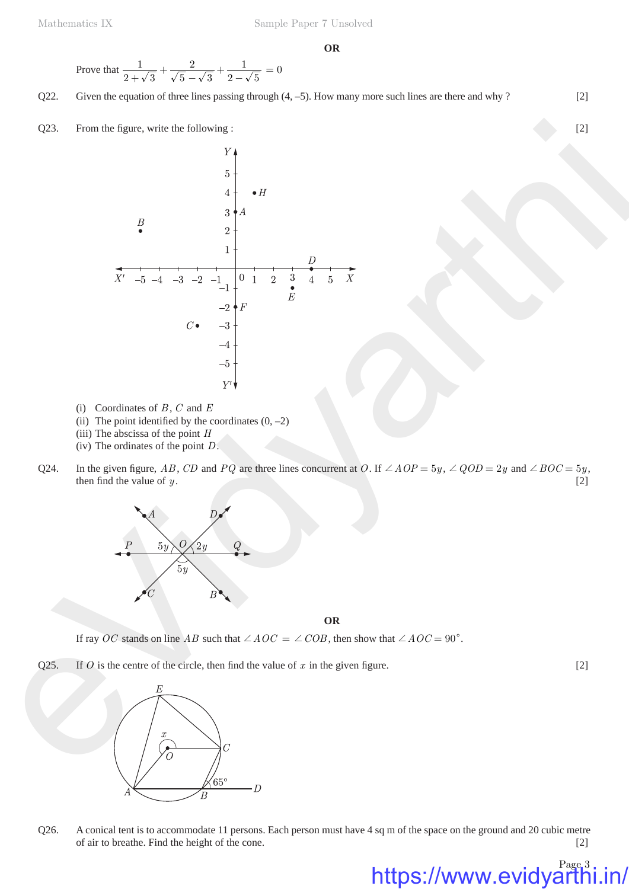Prove that 
$$
\frac{1}{2+\sqrt{3}} + \frac{2}{\sqrt{5}-\sqrt{3}} + \frac{1}{2-\sqrt{5}} = 0
$$

Q22. Given the equation of three lines passing through (4, -5). How many more such lines are there and why ? [2]

Q23. From the figure, write the following : [2]

Q23. From the figure, write the following:  
\n
$$
\begin{array}{ccc}\nY & 3 & 4 \\
3 & 4 & 4\n\end{array}
$$
\n
$$
\begin{array}{ccc}\nY & 0 \\
3 & 3 & 4\n\end{array}
$$
\n
$$
\begin{array}{ccc}\nY & 0 \\
Y & 0 \\
Y & 1\n\end{array}
$$
\n
$$
\begin{array}{ccc}\nY & 0 \\
Y & 0 \\
Y & 0\n\end{array}
$$
\n
$$
\begin{array}{ccc}\nY & 0 \\
Y & 1\n\end{array}
$$
\n
$$
\begin{array}{ccc}\nY & 0 \\
Y & 0\n\end{array}
$$
\n
$$
\begin{array}{ccc}\nY & 0 \\
Y & 1\n\end{array}
$$
\n
$$
\begin{array}{ccc}\nY & 0 \\
Y & 0\n\end{array}
$$
\n
$$
\begin{array}{ccc}\n(Y & 0) & \text{for } Y \\
(Y & 0) & \text{The point of the point } D \\
(Y & Y) & Y\n\end{array}
$$
\n
$$
\begin{array}{ccc}\n(Y & 0) & \text{for } Y \\
(Y & Y) & Y\n\end{array}
$$
\n
$$
\begin{array}{ccc}\n(Y & 0) & \text{for } Y \\
(Y & Y) & Y\n\end{array}
$$
\n
$$
\begin{array}{ccc}\nY & 0 \\
Y & 0\n\end{array}
$$
\n
$$
\begin{array}{ccc}\nY & 0 \\
Y & 0\n\end{array}
$$
\n
$$
\begin{array}{ccc}\nY & 0 \\
Y & 0\n\end{array}
$$
\n
$$
\begin{array}{ccc}\nY & 0 \\
Y & 0\n\end{array}
$$
\n
$$
\begin{array}{ccc}\nY & 0 \\
Y & 0\n\end{array}
$$
\n
$$
\begin{array}{ccc}\nY & 0 \\
Y & 0\n\end{array}
$$
\n
$$
\begin{array}{ccc}\nY & 0 \\
Y & 0\n\end{array}
$$
\n
$$
\begin{array}{ccc}\nY & 0 \\
Y & 0\n\end{array}
$$
\n
$$
\begin{array}{ccc}\nY & 0 \\
Y & 0\n\end{array}
$$
\n
$$
\begin{array}{ccc}\nY & 0 \\
Y & 0\n\end{array}
$$
\n
$$
\begin{array}{ccc}\nY & 0 \\
Y & 0\n\end{array}
$$
\n

- (i) Coordinates of *B* , *C* and *E*
- (ii) The point identified by the coordinates  $(0, -2)$
- (iii) The abscissa of the point *H*
- (iv) The ordinates of the point *D*.
- Q24. In the given figure, *AB*, *CD* and *PQ* are three lines concurrent at *O*. If  $\angle AOP = 5y$ ,  $\angle QOD = 2y$  and  $\angle BOC = 5y$ , then find the value of  $y$ . [2]



**OR**

If ray *OC* stands on line *AB* such that  $\angle AOC = \angle COB$ , then show that  $\angle AOC = 90^\circ$ .

Q25. If *O* is the centre of the circle, then find the value of  $x$  in the given figure. [2]



Q26. A conical tent is to accommodate 11 persons. Each person must have 4 sq m of the space on the ground and 20 cubic metre of air to breathe. Find the height of the cone. [2]

Page 3

https://www.evidyarth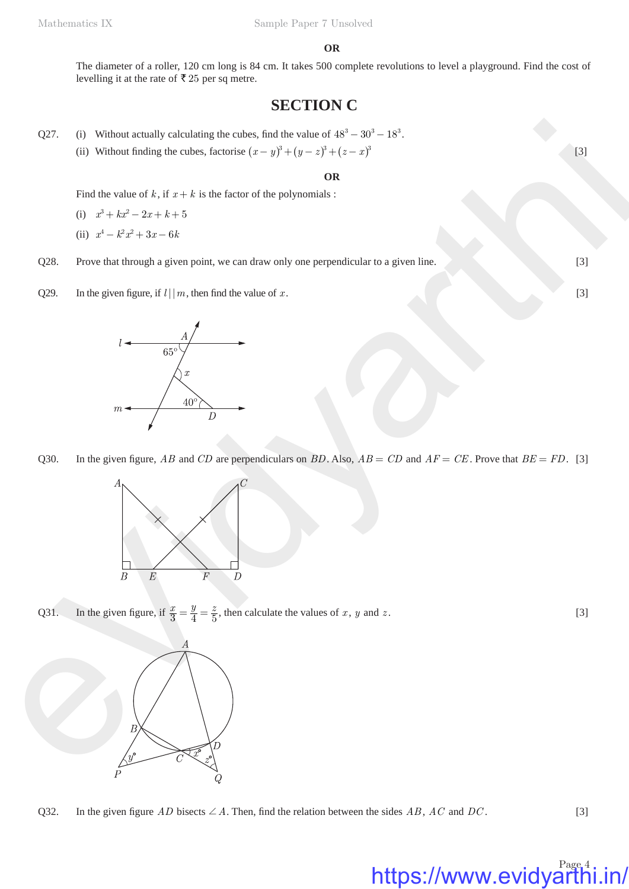#### **OR**

The diameter of a roller, 120 cm long is 84 cm. It takes 500 complete revolutions to level a playground. Find the cost of levelling it at the rate of  $\bar{\mathfrak{c}}$  25 per sq metre.

# **SECTION C**

- Q27. (i) Without actually calculating the cubes, find the value of  $48^3 30^3 18^3$ .
	- (ii) Without finding the cubes, factorise  $(x y)^3 + (y z)^3 + (z x)^3$  [3]

#### **OR**

Find the value of  $k$ , if  $x + k$  is the factor of the polynomials :

- (i)  $x^3 + kx^2 2x + k+5$
- (ii)  $x^4 k^2 x^2 + 3x 6k$
- Q28. Prove that through a given point, we can draw only one perpendicular to a given line. [3]
- Q29. In the given figure, if  $l \mid |m|$ , then find the value of *x*. [3]



Q30. In the given figure, *AB* and *CD* are perpendiculars on *BD*. Also,  $AB = CD$  and  $AF = CE$ . Prove that  $BE = FD$ . [3]



Q31. In the given figure, if  $\frac{x}{3} = \frac{y}{4} = \frac{z}{5}$ , then calculate the values of *x*, *y* and *z*. [3]



Q32. In the given figure *AD* bisects  $\angle A$ . Then, find the relation between the sides *AB*, *AC* and *DC*. [3]

# https://www.evidyarthi.in/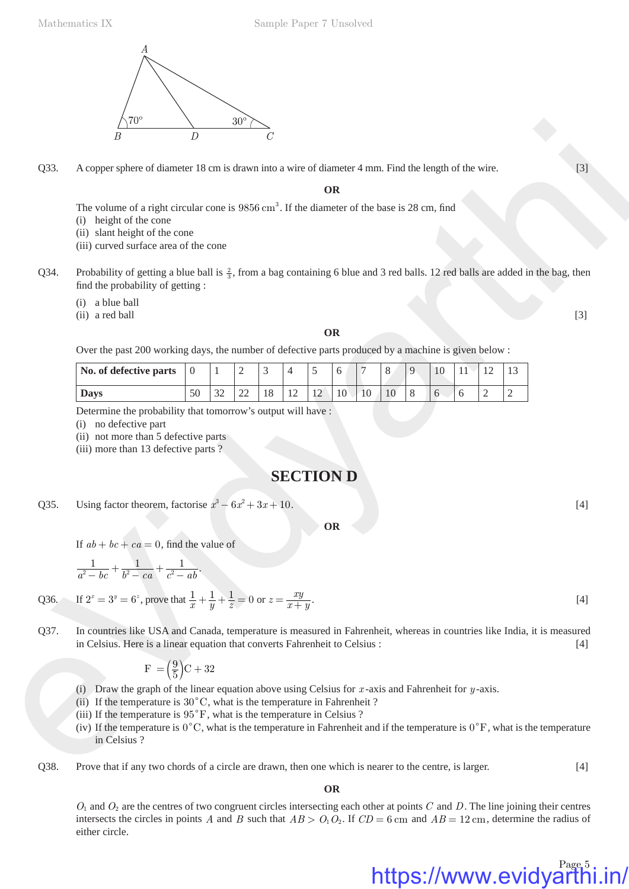

- (i) height of the cone
- (ii) slant height of the cone
- (iii) curved surface area of the cone
- Q34. Probability of getting a blue ball is  $\frac{2}{3}$ , from a bag containing 6 blue and 3 red balls. 12 red balls are added in the bag, then find the probability of getting :
	- (i) a blue ball
	- $(i)$  a red ball  $[3]$

#### **OR**

|      | \70`                                                                                                                                                                                                                                                                                                                                                                                                                                                    | D              |                                      | $30^{\circ}$   |    |    |                  |           |    |    |   |    |    |    |              |       |
|------|---------------------------------------------------------------------------------------------------------------------------------------------------------------------------------------------------------------------------------------------------------------------------------------------------------------------------------------------------------------------------------------------------------------------------------------------------------|----------------|--------------------------------------|----------------|----|----|------------------|-----------|----|----|---|----|----|----|--------------|-------|
|      | B                                                                                                                                                                                                                                                                                                                                                                                                                                                       |                |                                      |                |    |    |                  |           |    |    |   |    |    |    |              |       |
| Q33. | A copper sphere of diameter 18 cm is drawn into a wire of diameter 4 mm. Find the length of the wire.                                                                                                                                                                                                                                                                                                                                                   |                |                                      |                |    |    |                  |           |    |    |   |    |    |    |              | $[3]$ |
|      |                                                                                                                                                                                                                                                                                                                                                                                                                                                         |                |                                      |                |    |    |                  | <b>OR</b> |    |    |   |    |    |    |              |       |
|      | The volume of a right circular cone is $9856 \text{ cm}^3$ . If the diameter of the base is 28 cm, find<br>(i) height of the cone<br>(ii) slant height of the cone<br>(iii) curved surface area of the cone                                                                                                                                                                                                                                             |                |                                      |                |    |    |                  |           |    |    |   |    |    |    |              |       |
| Q34. | Probability of getting a blue ball is $\frac{2}{3}$ , from a bag containing 6 blue and 3 red balls. 12 red balls are added in the bag, then<br>find the probability of getting :                                                                                                                                                                                                                                                                        |                |                                      |                |    |    |                  |           |    |    |   |    |    |    |              |       |
|      | (i) a blue ball<br>(ii) a red ball                                                                                                                                                                                                                                                                                                                                                                                                                      |                |                                      |                |    |    |                  |           |    |    |   |    |    |    |              | $[3]$ |
|      |                                                                                                                                                                                                                                                                                                                                                                                                                                                         |                |                                      |                |    |    |                  | <b>OR</b> |    |    |   |    |    |    |              |       |
|      | Over the past 200 working days, the number of defective parts produced by a machine is given below :                                                                                                                                                                                                                                                                                                                                                    |                |                                      |                |    |    |                  |           |    |    |   |    |    |    |              |       |
|      | No. of defective parts                                                                                                                                                                                                                                                                                                                                                                                                                                  | $\overline{0}$ | 1                                    | $\overline{c}$ | 3  | 4  | 5                | 6         |    | 8  | 9 | 10 | 11 | 12 | 13           |       |
|      | <b>Days</b>                                                                                                                                                                                                                                                                                                                                                                                                                                             | 50             | 32                                   | 22             | 18 | 12 | 12               | 10        | 10 | 10 | 8 | 6  | 6  | 2  | $\mathbf{2}$ |       |
|      |                                                                                                                                                                                                                                                                                                                                                                                                                                                         |                |                                      |                |    |    | <b>SECTION D</b> |           |    |    |   |    |    |    |              |       |
| Q35. | Using factor theorem, factorise $x^3 - 6x^2 + 3x + 10$ .                                                                                                                                                                                                                                                                                                                                                                                                |                |                                      |                |    |    |                  |           |    |    |   |    |    |    |              | $[4]$ |
|      | <b>OR</b><br>If $ab + bc + ca = 0$ , find the value of                                                                                                                                                                                                                                                                                                                                                                                                  |                |                                      |                |    |    |                  |           |    |    |   |    |    |    |              |       |
|      | $\frac{1}{a^2 - bc} + \frac{1}{b^2 - ca} + \frac{1}{c^2 - ab}.$                                                                                                                                                                                                                                                                                                                                                                                         |                |                                      |                |    |    |                  |           |    |    |   |    |    |    |              |       |
|      | Q36. If $2^x = 3^y = 6^z$ , prove that $\frac{1}{x} + \frac{1}{y} + \frac{1}{z} = 0$ or $z = \frac{xy}{x+y}$ .                                                                                                                                                                                                                                                                                                                                          |                |                                      |                |    |    |                  |           |    |    |   |    |    |    |              | $[4]$ |
| Q37. | In countries like USA and Canada, temperature is measured in Fahrenheit, whereas in countries like India, it is measured<br>in Celsius. Here is a linear equation that converts Fahrenheit to Celsius :                                                                                                                                                                                                                                                 |                |                                      |                |    |    |                  |           |    |    |   |    |    |    |              | $[4]$ |
|      |                                                                                                                                                                                                                                                                                                                                                                                                                                                         |                | $F = \left(\frac{9}{5}\right)C + 32$ |                |    |    |                  |           |    |    |   |    |    |    |              |       |
|      |                                                                                                                                                                                                                                                                                                                                                                                                                                                         |                |                                      |                |    |    |                  |           |    |    |   |    |    |    |              |       |
|      | (i) Draw the graph of the linear equation above using Celsius for $x$ -axis and Fahrenheit for $y$ -axis.<br>(ii) If the temperature is $30^{\circ}$ C, what is the temperature in Fahrenheit ?<br>(iii) If the temperature is $95^{\circ}$ F, what is the temperature in Celsius ?<br>(iv) If the temperature is $0^{\circ}$ C, what is the temperature in Fahrenheit and if the temperature is $0^{\circ}$ F, what is the temperature<br>in Celsius ? |                |                                      |                |    |    |                  |           |    |    |   |    |    |    |              |       |

### **SECTION D**

$$
\frac{1}{a^2 - bc} + \frac{1}{b^2 - ca} + \frac{1}{c^2 - ab}.
$$

Q36. If 
$$
2^x = 3^y = 6^z
$$
, prove that  $\frac{1}{x} + \frac{1}{y} + \frac{1}{z} = 0$  or  $z = \frac{xy}{x+y}$ . [4]

$$
F = \left(\frac{9}{5}\right)C + 32
$$

- (iii) If the temperature is  $95^{\circ}$ F, what is the temperature in Celsius ?
- (iv) If the temperature is  $0^{\circ}$ C, what is the temperature in Fahrenheit and if the temperature is  $0^{\circ}$ F, what is the temperature in Celsius ?
- Q38. Prove that if any two chords of a circle are drawn, then one which is nearer to the centre, is larger. [4]

**OR**

 $O_1$  and  $O_2$  are the centres of two congruent circles intersecting each other at points  $C$  and  $D$ . The line joining their centres intersects the circles in points *A* and *B* such that  $AB > O_1O_2$ . If  $CD = 6$  cm and  $AB = 12$  cm, determine the radius of either circle.

# https://www.evidyarthi.in/